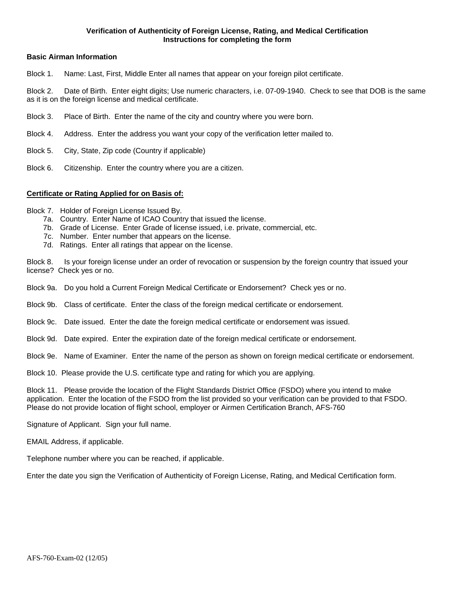## **Verification of Authenticity of Foreign License, Rating, and Medical Certification Instructions for completing the form**

## **Basic Airman Information**

Block 1. Name: Last, First, Middle Enter all names that appear on your foreign pilot certificate.

Block 2. Date of Birth. Enter eight digits; Use numeric characters, i.e. 07-09-1940. Check to see that DOB is the same as it is on the foreign license and medical certificate.

- Block 3. Place of Birth. Enter the name of the city and country where you were born.
- Block 4. Address. Enter the address you want your copy of the verification letter mailed to.
- Block 5. City, State, Zip code (Country if applicable)
- Block 6. Citizenship. Enter the country where you are a citizen.

## **Certificate or Rating Applied for on Basis of:**

Block 7. Holder of Foreign License Issued By.

- 7a. Country. Enter Name of ICAO Country that issued the license.
- 7b. Grade of License. Enter Grade of license issued, i.e. private, commercial, etc.
- 7c. Number. Enter number that appears on the license.
- 7d. Ratings. Enter all ratings that appear on the license.

Block 8. Is your foreign license under an order of revocation or suspension by the foreign country that issued your license? Check yes or no.

Block 9a. Do you hold a Current Foreign Medical Certificate or Endorsement? Check yes or no.

- Block 9b. Class of certificate. Enter the class of the foreign medical certificate or endorsement.
- Block 9c. Date issued. Enter the date the foreign medical certificate or endorsement was issued.
- Block 9d. Date expired. Enter the expiration date of the foreign medical certificate or endorsement.

Block 9e. Name of Examiner. Enter the name of the person as shown on foreign medical certificate or endorsement.

Block 10. Please provide the U.S. certificate type and rating for which you are applying.

Block 11. Please provide the location of the Flight Standards District Office (FSDO) where you intend to make application. Enter the location of the FSDO from the list provided so your verification can be provided to that FSDO. Please do not provide location of flight school, employer or Airmen Certification Branch, AFS-760

Signature of Applicant. Sign your full name.

EMAIL Address, if applicable.

Telephone number where you can be reached, if applicable.

Enter the date you sign the Verification of Authenticity of Foreign License, Rating, and Medical Certification form.